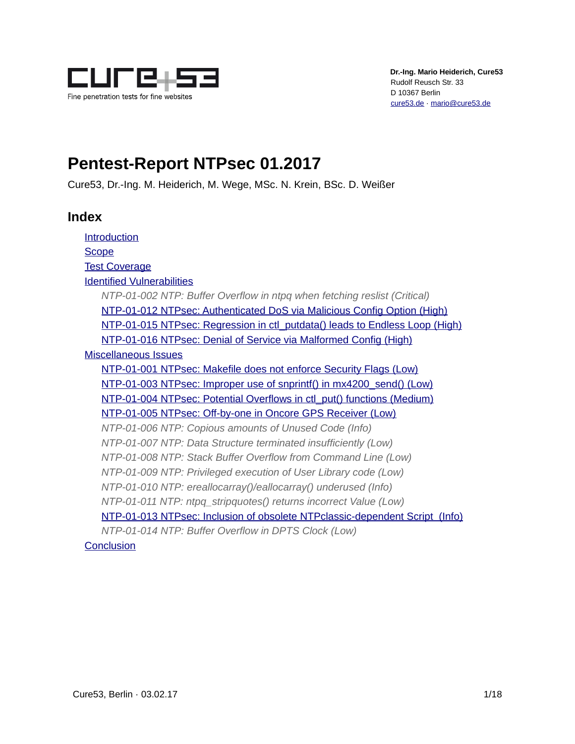

# **Pentest-Report NTPsec 01.2017**

Cure53, Dr.-Ing. M. Heiderich, M. Wege, MSc. N. Krein, BSc. D. Weißer

# **Index**

[Introduction](#page-1-0) **[Scope](#page-2-1)** [Test Coverage](#page-2-0) [Identified Vulnerabilities](#page-3-2) *[NTP-01-002 NTP: Buffer Overflow in ntpq when fetching reslist \(Critical\)](#page-3-1)* [NTP-01-012 NTPsec: Authenticated DoS via Malicious Config Option \(High\)](#page-3-0) [NTP-01-015 NTPsec: Regression in ctl\\_putdata\(\) leads to Endless Loop \(High\)](#page-5-0) [NTP-01-016 NTPsec: Denial of Service via Malformed Config \(High\)](#page-6-0) [Miscellaneous Issues](#page-9-1) [NTP-01-001 NTPsec: Makefile does not enforce Security Flags \(Low\)](#page-9-0) [NTP-01-003 NTPsec: Improper use of snprintf\(\) in mx4200\\_send\(\) \(Low\)](#page-10-0) [NTP-01-004 NTPsec: Potential Overflows in ctl\\_put\(\) functions \(Medium\)](#page-11-0) [NTP-01-005 NTPsec: Off-by-one in Oncore GPS Receiver \(Low\)](#page-12-0) *[NTP-01-006 NTP: Copious amounts of Unused Code \(Info\)](#page-13-1) [NTP-01-007 NTP: Data Structure terminated insufficiently \(Low\)](#page-13-0) [NTP-01-008 NTP: Stack Buffer Overflow from Command Line \(Low\)](#page-14-3) [NTP-01-009 NTP: Privileged execution of User Library code \(Low\)](#page-14-2) [NTP-01-010 NTP: ereallocarray\(\)/eallocarray\(\) underused \(Info\)](#page-14-1) [NTP-01-011 NTP: ntpq\\_stripquotes\(\) returns incorrect Value \(Low\)](#page-14-0)* [NTP-01-013 NTPsec: Inclusion of obsolete NTPclassic-dependent Script \(Info\)](#page-15-1) *[NTP-01-014 NTP: Buffer Overflow in DPTS Clock \(Low\)](#page-15-0)* **[Conclusion](#page-16-0)**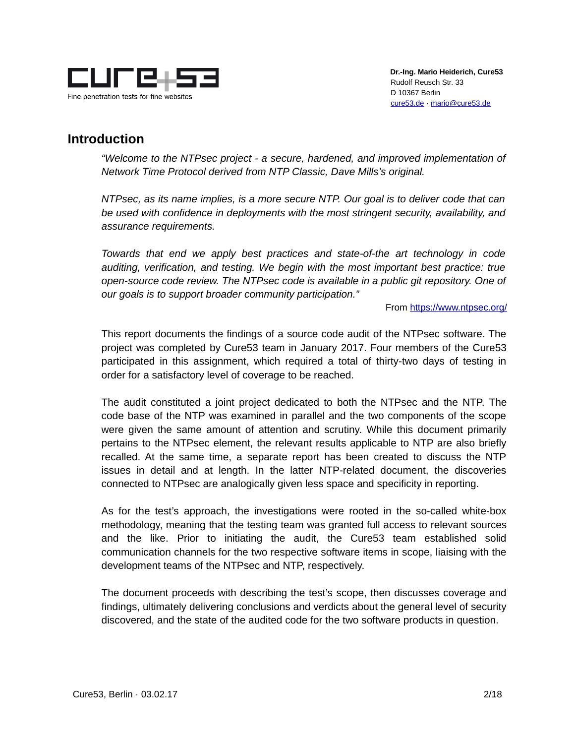

# <span id="page-1-0"></span>**Introduction**

*"Welcome to the NTPsec project - a secure, hardened, and improved implementation of Network Time Protocol derived from NTP Classic, Dave Mills's original.*

*NTPsec, as its name implies, is a more secure NTP. Our goal is to deliver code that can be used with confidence in deployments with the most stringent security, availability, and assurance requirements.*

*Towards that end we apply best practices and state-of-the art technology in code auditing, verification, and testing. We begin with the most important best practice: true open-source code review. The NTPsec code is available in a public git repository. One of our goals is to support broader community participation."*

From<https://www.ntpsec.org/>

This report documents the findings of a source code audit of the NTPsec software. The project was completed by Cure53 team in January 2017. Four members of the Cure53 participated in this assignment, which required a total of thirty-two days of testing in order for a satisfactory level of coverage to be reached.

The audit constituted a joint project dedicated to both the NTPsec and the NTP. The code base of the NTP was examined in parallel and the two components of the scope were given the same amount of attention and scrutiny. While this document primarily pertains to the NTPsec element, the relevant results applicable to NTP are also briefly recalled. At the same time, a separate report has been created to discuss the NTP issues in detail and at length. In the latter NTP-related document, the discoveries connected to NTPsec are analogically given less space and specificity in reporting.

As for the test's approach, the investigations were rooted in the so-called white-box methodology, meaning that the testing team was granted full access to relevant sources and the like. Prior to initiating the audit, the Cure53 team established solid communication channels for the two respective software items in scope, liaising with the development teams of the NTPsec and NTP, respectively.

The document proceeds with describing the test's scope, then discusses coverage and findings, ultimately delivering conclusions and verdicts about the general level of security discovered, and the state of the audited code for the two software products in question.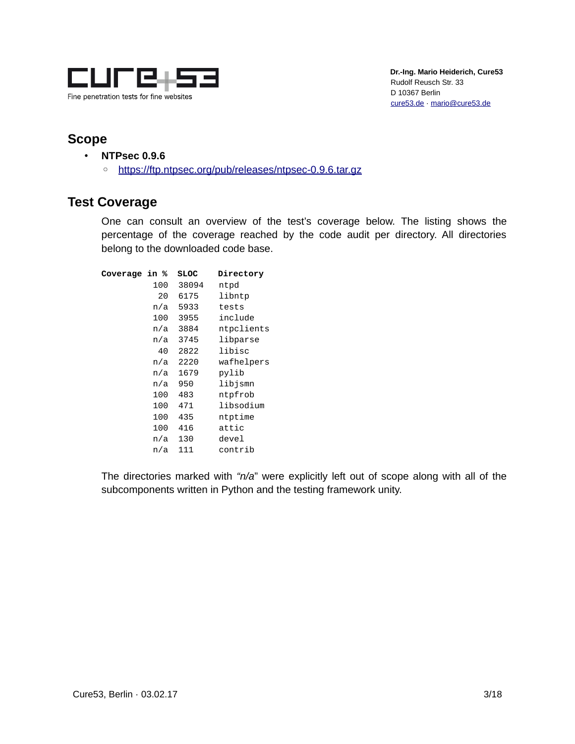

# <span id="page-2-1"></span>**Scope**

- **NTPsec 0.9.6**
	- ◦<https://ftp.ntpsec.org/pub/releases/ntpsec-0.9.6.tar.gz>

# <span id="page-2-0"></span>**Test Coverage**

One can consult an overview of the test's coverage below. The listing shows the percentage of the coverage reached by the code audit per directory. All directories belong to the downloaded code base.

| Coverage in % |     | <b>SLOC</b> | Directory  |
|---------------|-----|-------------|------------|
|               | 100 | 38094       | ntpd       |
|               | 20  | 6175        | libntp     |
|               | n/a | 5933        | tests      |
|               | 100 | 3955        | include    |
|               | n/a | 3884        | ntpclients |
|               | n/a | 3745        | libparse   |
|               | 40  | 2822        | libisc     |
|               | n/a | 2220        | wafhelpers |
|               | n/a | 1679        | pylib      |
|               | n/a | 950         | libjsmn    |
|               | 100 | 483         | ntpfrob    |
|               | 100 | 471         | libsodium  |
|               | 100 | 435         | ntptime    |
|               | 100 | 416         | attic      |
|               | n/a | 130         | devel      |
|               | n/a | 111         | contrib    |
|               |     |             |            |

The directories marked with *"n/a*" were explicitly left out of scope along with all of the subcomponents written in Python and the testing framework unity.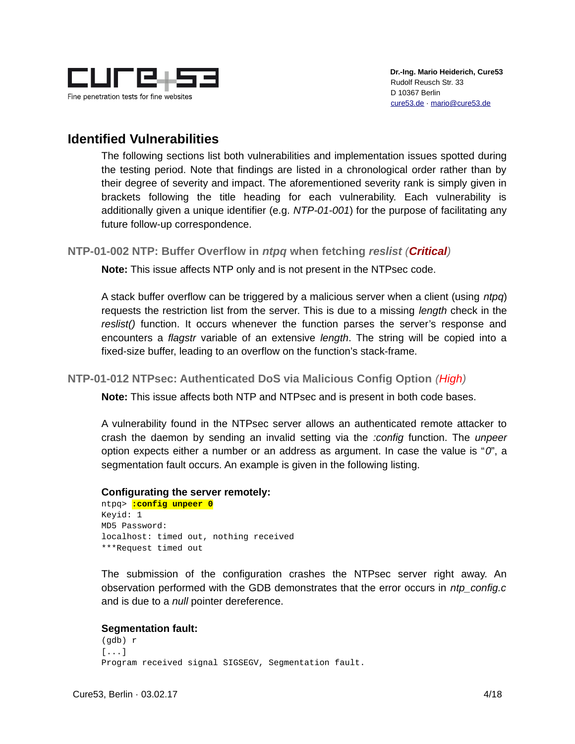

# <span id="page-3-2"></span>**Identified Vulnerabilities**

The following sections list both vulnerabilities and implementation issues spotted during the testing period. Note that findings are listed in a chronological order rather than by their degree of severity and impact. The aforementioned severity rank is simply given in brackets following the title heading for each vulnerability. Each vulnerability is additionally given a unique identifier (e.g. *NTP-01-001*) for the purpose of facilitating any future follow-up correspondence.

## <span id="page-3-1"></span>**NTP-01-002 NTP: Buffer Overflow in** *ntpq* **when fetching** *reslist (Critical)*

**Note:** This issue affects NTP only and is not present in the NTPsec code.

A stack buffer overflow can be triggered by a malicious server when a client (using *ntpq*) requests the restriction list from the server. This is due to a missing *length* check in the *reslist()* function. It occurs whenever the function parses the server's response and encounters a *flagstr* variable of an extensive *length*. The string will be copied into a fixed-size buffer, leading to an overflow on the function's stack-frame.

### <span id="page-3-0"></span>**NTP-01-012 NTPsec: Authenticated DoS via Malicious Config Option** *(High)*

**Note:** This issue affects both NTP and NTPsec and is present in both code bases.

A vulnerability found in the NTPsec server allows an authenticated remote attacker to crash the daemon by sending an invalid setting via the *:config* function. The *unpeer* option expects either a number or an address as argument. In case the value is "*0*", a segmentation fault occurs. An example is given in the following listing.

#### **Configurating the server remotely:**

ntpq> **:config unpeer 0** Keyid: 1 MD5 Password: localhost: timed out, nothing received \*\*\*Request timed out

The submission of the configuration crashes the NTPsec server right away. An observation performed with the GDB demonstrates that the error occurs in *ntp\_config.c* and is due to a *null* pointer dereference.

### **Segmentation fault:**

(gdb) r [...] Program received signal SIGSEGV, Segmentation fault.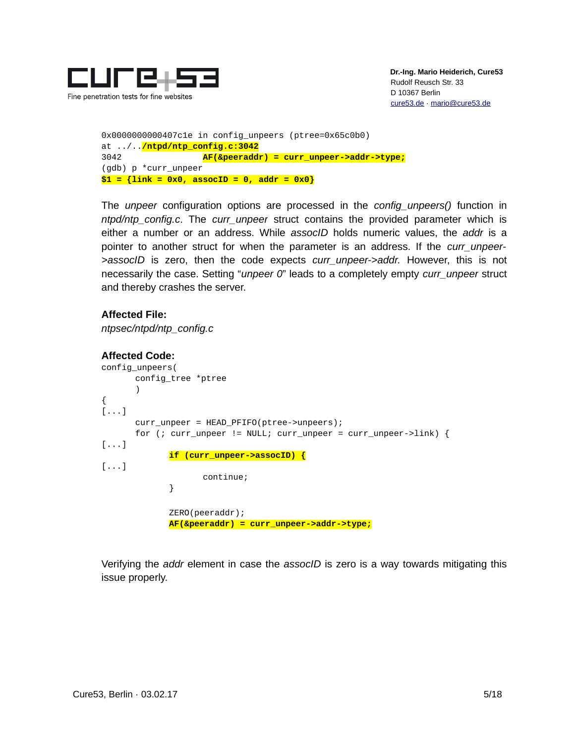

```
0x0000000000407c1e in config_unpeers (ptree=0x65c0b0) 
at ../../ntpd/ntp_config.c:3042
3042 AF(&peeraddr) = curr_unpeer->addr->type;
(gdb) p *curr_unpeer
$1 = {link = 0x0, assocID = 0, addr = 0x0}
```
The *unpeer* configuration options are processed in the *config\_unpeers()* function in *ntpd/ntp\_config.c*. The *curr\_unpeer* struct contains the provided parameter which is either a number or an address. While *assocID* holds numeric values, the *addr* is a pointer to another struct for when the parameter is an address. If the *curr\_unpeer- >assocID* is zero, then the code expects *curr\_unpeer->addr.* However, this is not necessarily the case. Setting "*unpeer 0*" leads to a completely empty *curr\_unpeer* struct and thereby crashes the server.

### **Affected File:**

*ntpsec/ntpd/ntp\_config.c*

#### **Affected Code:**

```
config_unpeers(
      config_tree *ptree
       )
{
[...]
       curr unpeer = HEAD PFIFO(ptree->unpeers);
       for (; curr_unpeer != NULL; curr_unpeer = curr_unpeer->link) {
[...]
             if (curr_unpeer->assocID) {
[\ldots]continue;
             }
             ZERO(peeraddr);
             AF(&peeraddr) = curr_unpeer->addr->type;
```
Verifying the *addr* element in case the *assocID* is zero is a way towards mitigating this issue properly.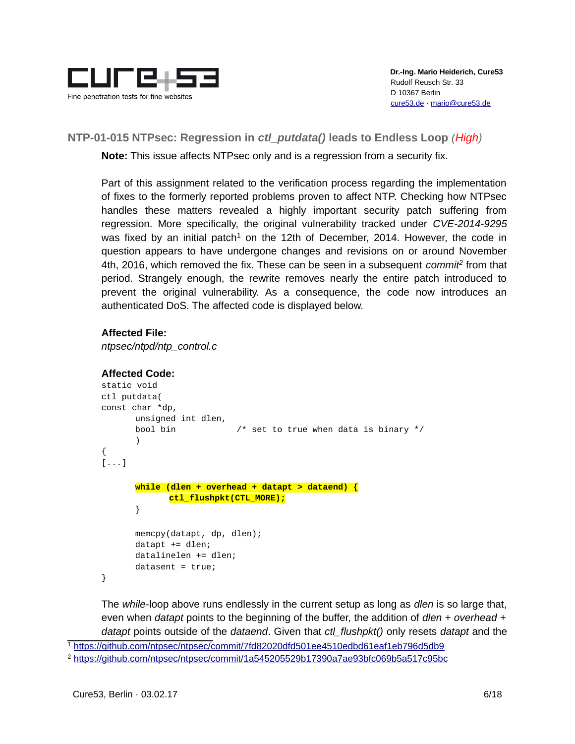

# <span id="page-5-0"></span>**NTP-01-015 NTPsec: Regression in** *ctl\_putdata()* **leads to Endless Loop** *(High)*

**Note:** This issue affects NTPsec only and is a regression from a security fix.

Part of this assignment related to the verification process regarding the implementation of fixes to the formerly reported problems proven to affect NTP. Checking how NTPsec handles these matters revealed a highly important security patch suffering from regression. More specifically, the original vulnerability tracked under *CVE-2014-9295* was fixed by an initial patch<sup>[1](#page-5-1)</sup> on the 12th of December, 2014. However, the code in question appears to have undergone changes and revisions on or around November 4th, 2016, which removed the fix. These can be seen in a subsequent *commit[2](#page-5-2)* from that period. Strangely enough, the rewrite removes nearly the entire patch introduced to prevent the original vulnerability. As a consequence, the code now introduces an authenticated DoS. The affected code is displayed below.

## **Affected File:**

*ntpsec/ntpd/ntp\_control.c*

### **Affected Code:**

```
static void
ctl_putdata(
const char *dp,
      unsigned int dlen,
      bool bin /* set to true when data is binary */
      )
{
[...]
      while (dlen + overhead + datapt > dataend) {
             ctl_flushpkt(CTL_MORE);
      }
      memcpy(datapt, dp, dlen);
      datapt += dlen;
      datalinelen += dlen;
      datasent = true;}
```
The *while-*loop above runs endlessly in the current setup as long as *dlen* is so large that, even when *datapt* points to the beginning of the buffer, the addition of *dlen + overhead + datapt* points outside of the *dataend*. Given that *ctl\_flushpkt()* only resets *datapt* and the

<span id="page-5-1"></span><sup>1</sup> <https://github.com/ntpsec/ntpsec/commit/7fd82020dfd501ee4510edbd61eaf1eb796d5db9>

<span id="page-5-2"></span><sup>2</sup> <https://github.com/ntpsec/ntpsec/commit/1a545205529b17390a7ae93bfc069b5a517c95bc>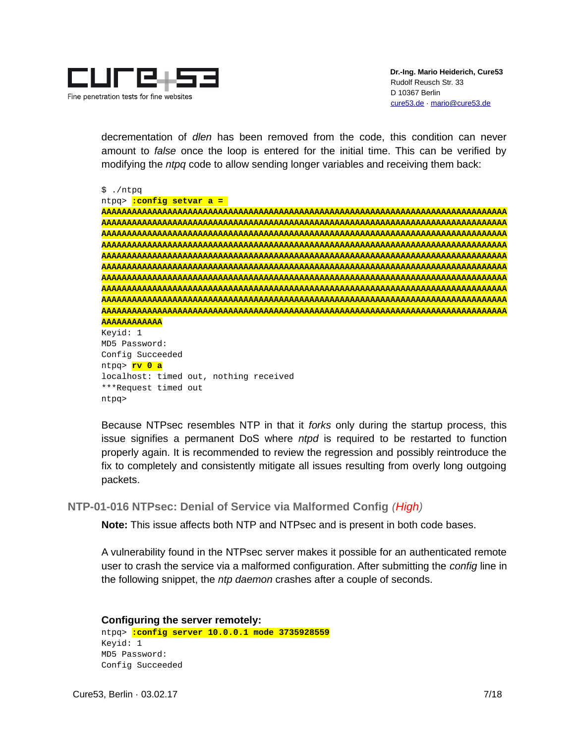

decrementation of *dlen* has been removed from the code, this condition can never amount to *false* once the loop is entered for the initial time. This can be verified by modifying the *ntpq* code to allow sending longer variables and receiving them back:

\$ ./ntpq

#### ntpq> **:config setvar a =**

**AAAAAAAAAAAAAAAAAAAAAAAAAAAAAAAAAAAAAAAAAAAAAAAAAAAAAAAAAAAAAAAAAAAAAAAAAAAAAAAA AAAAAAAAAAAAAAAAAAAAAAAAAAAAAAAAAAAAAAAAAAAAAAAAAAAAAAAAAAAAAAAAAAAAAAAAAAAAAAAA AAAAAAAAAAAAAAAAAAAAAAAAAAAAAAAAAAAAAAAAAAAAAAAAAAAAAAAAAAAAAAAAAAAAAAAAAAAAAAAA AAAAAAAAAAAAAAAAAAAAAAAAAAAAAAAAAAAAAAAAAAAAAAAAAAAAAAAAAAAAAAAAAAAAAAAAAAAAAAAA AAAAAAAAAAAAAAAAAAAAAAAAAAAAAAAAAAAAAAAAAAAAAAAAAAAAAAAAAAAAAAAAAAAAAAAAAAAAAAAA AAAAAAAAAAAAAAAAAAAAAAAAAAAAAAAAAAAAAAAAAAAAAAAAAAAAAAAAAAAAAAAAAAAAAAAAAAAAAAAA AAAAAAAAAAAAAAAAAAAAAAAAAAAAAAAAAAAAAAAAAAAAAAAAAAAAAAAAAAAAAAAAAAAAAAAAAAAAAAAA AAAAAAAAAAAAAAAAAAAAAAAAAAAAAAAAAAAAAAAAAAAAAAAAAAAAAAAAAAAAAAAAAAAAAAAAAAAAAAAA AAAAAAAAAAAAAAAAAAAAAAAAAAAAAAAAAAAAAAAAAAAAAAAAAAAAAAAAAAAAAAAAAAAAAAAAAAAAAAAA AAAAAAAAAAAAAAAAAAAAAAAAAAAAAAAAAAAAAAAAAAAAAAAAAAAAAAAAAAAAAAAAAAAAAAAAAAAAAAAA AAAAAAAAAAAA** Keyid: 1 MD5 Password: Config Succeeded

ntpq> **rv 0 a** localhost: timed out, nothing received \*\*\*Request timed out ntpq>

Because NTPsec resembles NTP in that it *forks* only during the startup process, this issue signifies a permanent DoS where *ntpd* is required to be restarted to function properly again. It is recommended to review the regression and possibly reintroduce the fix to completely and consistently mitigate all issues resulting from overly long outgoing packets.

<span id="page-6-0"></span>**NTP-01-016 NTPsec: Denial of Service via Malformed Config** *(High)*

**Note:** This issue affects both NTP and NTPsec and is present in both code bases.

A vulnerability found in the NTPsec server makes it possible for an authenticated remote user to crash the service via a malformed configuration. After submitting the *config* line in the following snippet, the *ntp daemon* crashes after a couple of seconds.

**Configuring the server remotely:** ntpq> **:config server 10.0.0.1 mode 3735928559** Keyid: 1 MD5 Password: Config Succeeded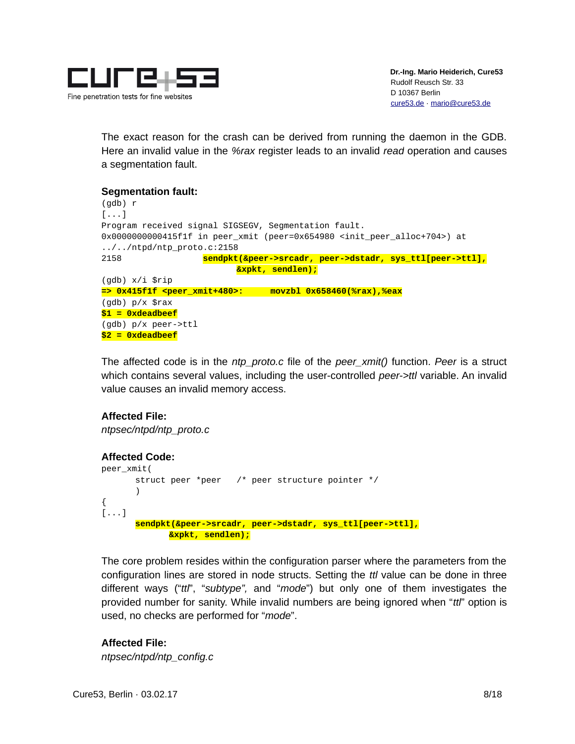

The exact reason for the crash can be derived from running the daemon in the GDB. Here an invalid value in the *%rax* register leads to an invalid *read* operation and causes a segmentation fault.

#### **Segmentation fault:** (gdb) r  $[\ldots]$ Program received signal SIGSEGV, Segmentation fault. 0x0000000000415f1f in peer\_xmit (peer=0x654980 <init\_peer\_alloc+704>) at ../../ntpd/ntp\_proto.c:2158 2158 **sendpkt(&peer->srcadr, peer->dstadr, sys\_ttl[peer->ttl], &xpkt, sendlen);** (gdb) x/i \$rip **=> 0x415f1f <peer\_xmit+480>: movzbl 0x658460(%rax),%eax** (gdb) p/x \$rax

The affected code is in the *ntp\_proto.c* file of the *peer\_xmit()* function. *Peer* is a struct which contains several values, including the user-controlled *peer->ttl* variable. An invalid value causes an invalid memory access.

### **Affected File:**

**\$1 = 0xdeadbeef** (gdb) p/x peer->ttl **\$2 = 0xdeadbeef**

*ntpsec/ntpd/ntp\_proto.c*

### **Affected Code:**

```
peer_xmit(
      struct peer *peer /* peer structure pointer */
      )
{
[...]
      sendpkt(&peer->srcadr, peer->dstadr, sys_ttl[peer->ttl],
             &xpkt, sendlen);
```
The core problem resides within the configuration parser where the parameters from the configuration lines are stored in node structs. Setting the *ttl* value can be done in three different ways ("*ttl*", "*subtype",* and "*mode*") but only one of them investigates the provided number for sanity. While invalid numbers are being ignored when "*ttl*" option is used, no checks are performed for "*mode*".

**Affected File:**

*ntpsec/ntpd/ntp\_config.c*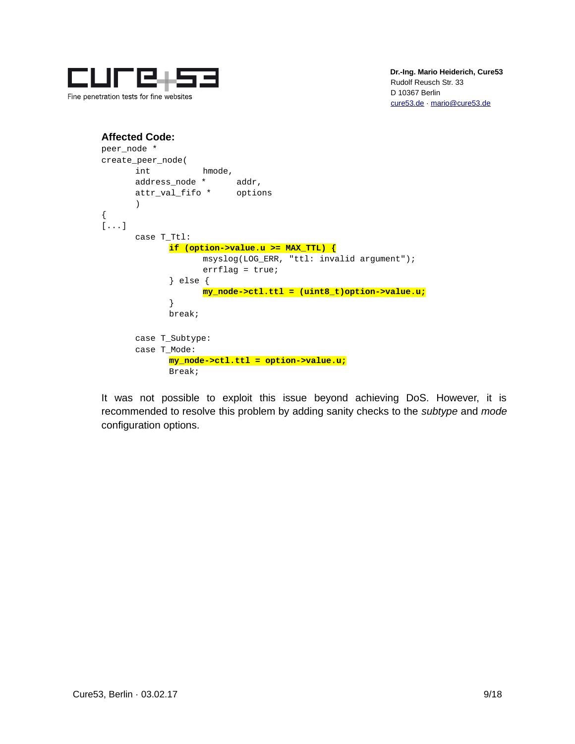

```
Affected Code:
peer_node *
create_peer_node(
      int hmode,
      address_node * addr,
      attr_val_fifo * options
      )
{
[...]
      case T_Ttl:
            if (option->value.u >= MAX_TTL) {
                   msyslog(LOG_ERR, "ttl: invalid argument");
                   errflag = true;} else {
                   my_node->ctl.ttl = (uint8_t)option->value.u;
            }
            break;
      case T_Subtype:
      case T_Mode:
            my_node->ctl.ttl = option->value.u;
            Break;
```
It was not possible to exploit this issue beyond achieving DoS. However, it is recommended to resolve this problem by adding sanity checks to the *subtype* and *mode* configuration options.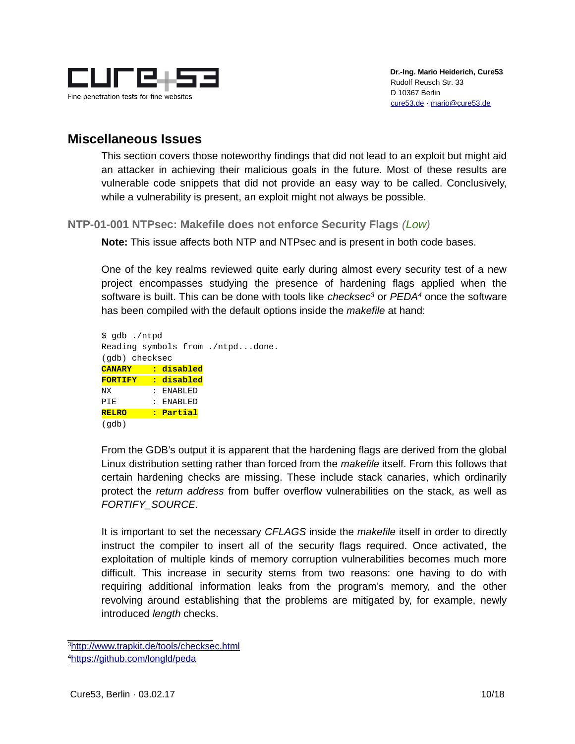

# <span id="page-9-1"></span>**Miscellaneous Issues**

This section covers those noteworthy findings that did not lead to an exploit but might aid an attacker in achieving their malicious goals in the future. Most of these results are vulnerable code snippets that did not provide an easy way to be called. Conclusively, while a vulnerability is present, an exploit might not always be possible.

<span id="page-9-0"></span>**NTP-01-001 NTPsec: Makefile does not enforce Security Flags** *(Low)*

**Note:** This issue affects both NTP and NTPsec and is present in both code bases.

One of the key realms reviewed quite early during almost every security test of a new project encompasses studying the presence of hardening flags applied when the software is built. This can be done with tools like *checksec[3](#page-9-2)* or *PEDA[4](#page-9-3)* once the software has been compiled with the default options inside the *makefile* at hand:

| \$ gdb ./ntpd             |           |                                  |
|---------------------------|-----------|----------------------------------|
|                           |           | Reading symbols from ./ntpddone. |
| (gdb) checksec            |           |                                  |
| <b>CANARY : disabled</b>  |           |                                  |
| <b>FORTIFY : disabled</b> |           |                                  |
| NΧ                        | : ENABLED |                                  |
| PIE                       | : ENABLED |                                  |
| <b>RELRO</b>              | : Partial |                                  |
| (gdb)                     |           |                                  |

From the GDB's output it is apparent that the hardening flags are derived from the global Linux distribution setting rather than forced from the *makefile* itself. From this follows that certain hardening checks are missing. These include stack canaries, which ordinarily protect the *return address* from buffer overflow vulnerabilities on the stack, as well as *FORTIFY\_SOURCE.*

It is important to set the necessary *CFLAGS* inside the *makefile* itself in order to directly instruct the compiler to insert all of the security flags required. Once activated, the exploitation of multiple kinds of memory corruption vulnerabilities becomes much more difficult. This increase in security stems from two reasons: one having to do with requiring additional information leaks from the program's memory, and the other revolving around establishing that the problems are mitigated by, for example, newly introduced *length* checks.

<span id="page-9-2"></span><sup>3</sup> <http://www.trapkit.de/tools/checksec.html>

<span id="page-9-3"></span><sup>4</sup><https://github.com/longld/peda>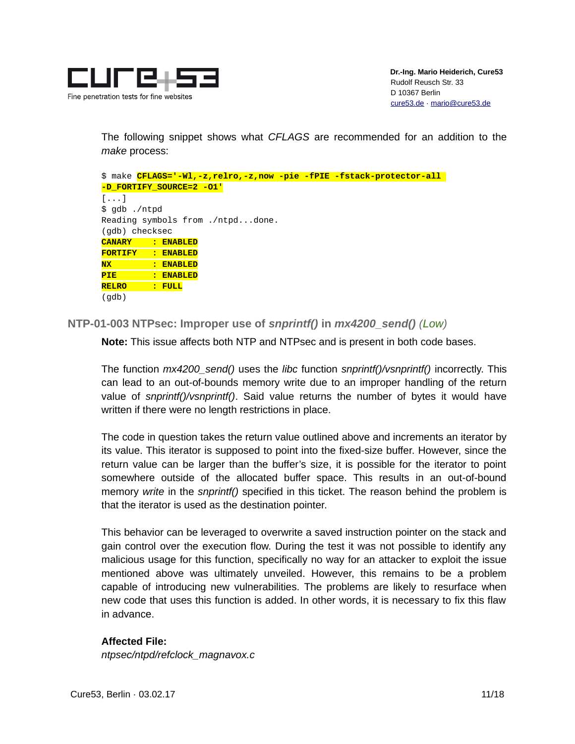

The following snippet shows what *CFLAGS* are recommended for an addition to the *make* process:

|                                  |  |                          |  |  | \$ make CFLAGS='-Wl,-z, relro,-z, now -pie -fPIE -fstack-protector-all |  |  |
|----------------------------------|--|--------------------------|--|--|------------------------------------------------------------------------|--|--|
| -D FORTIFY SOURCE=2 -01'         |  |                          |  |  |                                                                        |  |  |
| $\lceil \ldots \rceil$           |  |                          |  |  |                                                                        |  |  |
| \$ gdb ./ntpd                    |  |                          |  |  |                                                                        |  |  |
| Reading symbols from ./ntpddone. |  |                          |  |  |                                                                        |  |  |
| (gdb) checksec                   |  |                          |  |  |                                                                        |  |  |
|                                  |  | <b>CANARY : ENABLED</b>  |  |  |                                                                        |  |  |
|                                  |  | <b>FORTIFY : ENABLED</b> |  |  |                                                                        |  |  |
|                                  |  | NX : ENABLED             |  |  |                                                                        |  |  |
|                                  |  | PIE : ENABLED            |  |  |                                                                        |  |  |
| RELRO : FULL                     |  |                          |  |  |                                                                        |  |  |
| (qdb)                            |  |                          |  |  |                                                                        |  |  |

<span id="page-10-0"></span>**NTP-01-003 NTPsec: Improper use of** *snprintf()* **in** *mx4200\_send() (Low)*

**Note:** This issue affects both NTP and NTPsec and is present in both code bases.

The function *mx4200\_send()* uses the *libc* function *snprintf()/vsnprintf()* incorrectly. This can lead to an out-of-bounds memory write due to an improper handling of the return value of *snprintf()/vsnprintf()*. Said value returns the number of bytes it would have written if there were no length restrictions in place.

The code in question takes the return value outlined above and increments an iterator by its value. This iterator is supposed to point into the fixed-size buffer. However, since the return value can be larger than the buffer's size, it is possible for the iterator to point somewhere outside of the allocated buffer space. This results in an out-of-bound memory *write* in the *snprintf()* specified in this ticket. The reason behind the problem is that the iterator is used as the destination pointer.

This behavior can be leveraged to overwrite a saved instruction pointer on the stack and gain control over the execution flow. During the test it was not possible to identify any malicious usage for this function, specifically no way for an attacker to exploit the issue mentioned above was ultimately unveiled. However, this remains to be a problem capable of introducing new vulnerabilities. The problems are likely to resurface when new code that uses this function is added. In other words, it is necessary to fix this flaw in advance.

### **Affected File:**

*ntpsec/ntpd/refclock\_magnavox.c*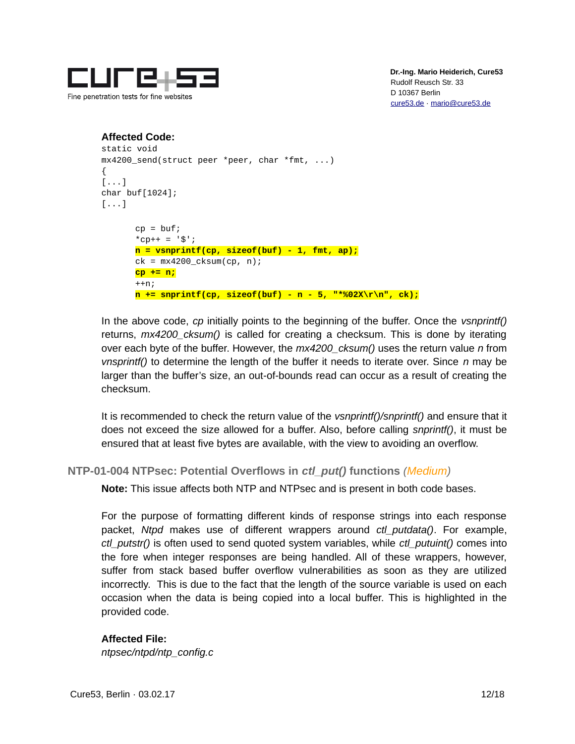

```
Affected Code:
static void
mx4200_send(struct peer *peer, char *fmt, ...)
{
[...]
char buf[1024];
[\ldots]cp = buf;*cp++ = 's';
      n = vsnprintf(cp, sizeof(buf) - 1, fmt, ap);
      ck = mx4200_ccksum(op, n);cp += n;
      ++n;n += snprintf(cp, sizeof(buf) - n - 5, "*%02X\r\n", ck);
```
In the above code, *cp* initially points to the beginning of the buffer. Once the *vsnprintf()* returns, *mx4200\_cksum()* is called for creating a checksum. This is done by iterating over each byte of the buffer. However, the *mx4200\_cksum()* uses the return value *n* from *vnsprintf()* to determine the length of the buffer it needs to iterate over. Since *n* may be larger than the buffer's size, an out-of-bounds read can occur as a result of creating the checksum.

It is recommended to check the return value of the *vsnprintf()/snprintf()* and ensure that it does not exceed the size allowed for a buffer. Also, before calling *snprintf()*, it must be ensured that at least five bytes are available, with the view to avoiding an overflow.

<span id="page-11-0"></span>**NTP-01-004 NTPsec: Potential Overflows in** *ctl\_put()* **functions** *(Medium)*

**Note:** This issue affects both NTP and NTPsec and is present in both code bases.

For the purpose of formatting different kinds of response strings into each response packet, *Ntpd* makes use of different wrappers around *ctl\_putdata()*. For example, *ctl\_putstr()* is often used to send quoted system variables, while *ctl\_putuint()* comes into the fore when integer responses are being handled. All of these wrappers, however, suffer from stack based buffer overflow vulnerabilities as soon as they are utilized incorrectly. This is due to the fact that the length of the source variable is used on each occasion when the data is being copied into a local buffer. This is highlighted in the provided code.

### **Affected File:**

*ntpsec/ntpd/ntp\_config.c*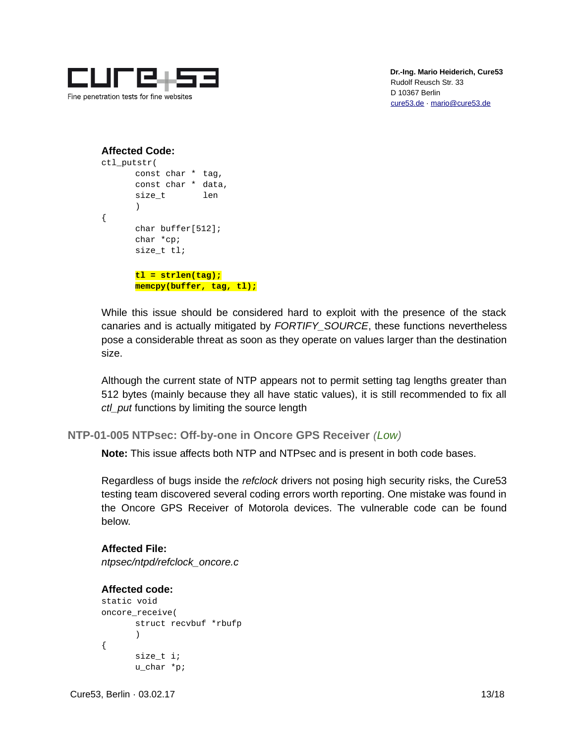

### **Affected Code:**

```
ctl_putstr(
      const char * tag,
      const char * data,
      size t len
      )
{
      char buffer[512];
      char *cp;
      size t tl;
      tl = strlen(tag);
      memcpy(buffer, tag, tl);
```
While this issue should be considered hard to exploit with the presence of the stack canaries and is actually mitigated by *FORTIFY\_SOURCE*, these functions nevertheless pose a considerable threat as soon as they operate on values larger than the destination size.

Although the current state of NTP appears not to permit setting tag lengths greater than 512 bytes (mainly because they all have static values), it is still recommended to fix all *ctl\_put* functions by limiting the source length

```
NTP-01-005 NTPsec: Off-by-one in Oncore GPS Receiver (Low)
```
**Note:** This issue affects both NTP and NTPsec and is present in both code bases.

Regardless of bugs inside the *refclock* drivers not posing high security risks, the Cure53 testing team discovered several coding errors worth reporting. One mistake was found in the Oncore GPS Receiver of Motorola devices. The vulnerable code can be found below.

#### **Affected File:**

*ntpsec/ntpd/refclock\_oncore.c*

### **Affected code:**

```
static void
oncore_receive(
       struct recvbuf *rbufp
       )
{
       size_t i;
      u_char *p;
```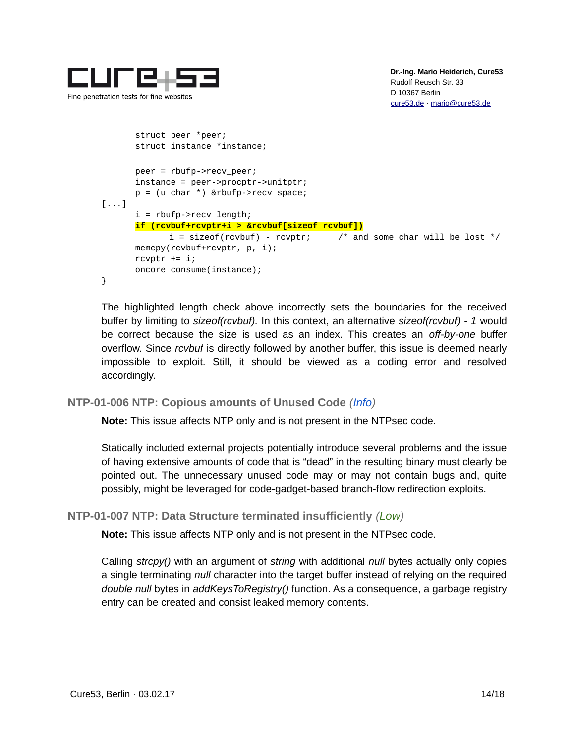

```
struct peer *peer;
       struct instance *instance;
      peer = rbufp->recv_peer;
      instance = peer->procptr->unitptr;
      p = (u_{char} * ) &rbufp->recv_space;
[...]
      i = rbufp->recv_length;
      if (rcvbuf+rcvptr+i > &rcvbuf[sizeof rcvbuf])
             i = sizeof(rcvbuf) - rcvptr; \frac{1}{2} /* and some char will be lost */
      memcpy(rcvbuf+rcvptr, p, i);
       rcvptr += i;oncore_consume(instance);
}
```
The highlighted length check above incorrectly sets the boundaries for the received buffer by limiting to *sizeof(rcvbuf).* In this context, an alternative *sizeof(rcvbuf) - 1* would be correct because the size is used as an index. This creates an *off-by-one* buffer overflow. Since *rcvbuf* is directly followed by another buffer, this issue is deemed nearly impossible to exploit. Still, it should be viewed as a coding error and resolved accordingly.

### <span id="page-13-1"></span>**NTP-01-006 NTP: Copious amounts of Unused Code** *(Info)*

**Note:** This issue affects NTP only and is not present in the NTPsec code.

Statically included external projects potentially introduce several problems and the issue of having extensive amounts of code that is "dead" in the resulting binary must clearly be pointed out. The unnecessary unused code may or may not contain bugs and, quite possibly, might be leveraged for code-gadget-based branch-flow redirection exploits.

### <span id="page-13-0"></span>**NTP-01-007 NTP: Data Structure terminated insufficiently** *(Low)*

**Note:** This issue affects NTP only and is not present in the NTPsec code.

Calling *strcpy()* with an argument of *string* with additional *null* bytes actually only copies a single terminating *null* character into the target buffer instead of relying on the required *double null* bytes in *addKeysToRegistry()* function. As a consequence, a garbage registry entry can be created and consist leaked memory contents.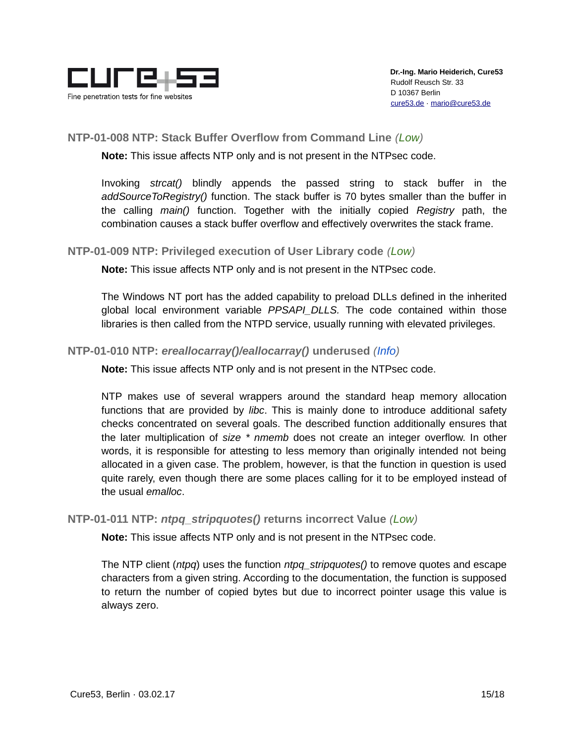

## <span id="page-14-3"></span>**NTP-01-008 NTP: Stack Buffer Overflow from Command Line** *(Low)*

**Note:** This issue affects NTP only and is not present in the NTPsec code.

Invoking *strcat()* blindly appends the passed string to stack buffer in the *addSourceToRegistry()* function. The stack buffer is 70 bytes smaller than the buffer in the calling *main()* function. Together with the initially copied *Registry* path, the combination causes a stack buffer overflow and effectively overwrites the stack frame.

### <span id="page-14-2"></span>**NTP-01-009 NTP: Privileged execution of User Library code** *(Low)*

**Note:** This issue affects NTP only and is not present in the NTPsec code.

The Windows NT port has the added capability to preload DLLs defined in the inherited global local environment variable *PPSAPI\_DLLS.* The code contained within those libraries is then called from the NTPD service, usually running with elevated privileges.

### <span id="page-14-1"></span>**NTP-01-010 NTP:** *ereallocarray()/eallocarray()* **underused** *(Info)*

**Note:** This issue affects NTP only and is not present in the NTPsec code.

NTP makes use of several wrappers around the standard heap memory allocation functions that are provided by *libc*. This is mainly done to introduce additional safety checks concentrated on several goals. The described function additionally ensures that the later multiplication of *size \* nmemb* does not create an integer overflow. In other words, it is responsible for attesting to less memory than originally intended not being allocated in a given case. The problem, however, is that the function in question is used quite rarely, even though there are some places calling for it to be employed instead of the usual *emalloc*.

#### <span id="page-14-0"></span>**NTP-01-011 NTP:** *ntpq\_stripquotes()* **returns incorrect Value** *(Low)*

**Note:** This issue affects NTP only and is not present in the NTPsec code.

The NTP client (*ntpq*) uses the function *ntpq\_stripquotes()* to remove quotes and escape characters from a given string. According to the documentation, the function is supposed to return the number of copied bytes but due to incorrect pointer usage this value is always zero.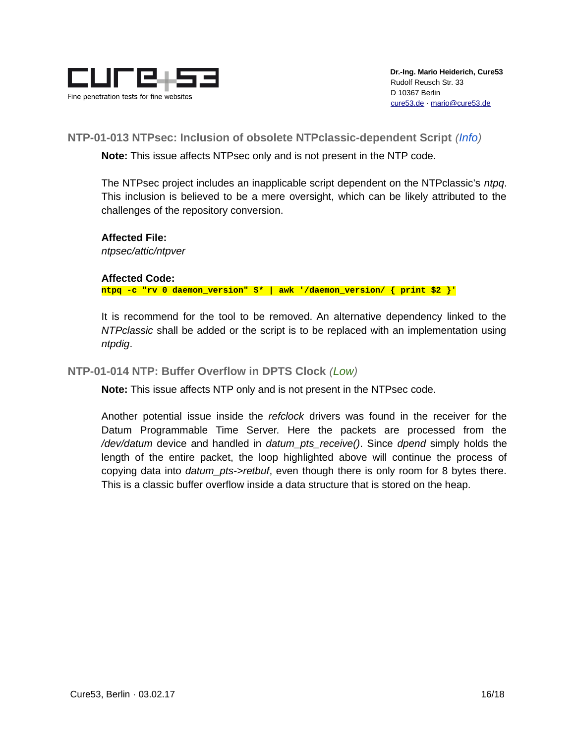

<span id="page-15-1"></span>**NTP-01-013 NTPsec: Inclusion of obsolete NTPclassic-dependent Script** *(Info)*

**Note:** This issue affects NTPsec only and is not present in the NTP code.

The NTPsec project includes an inapplicable script dependent on the NTPclassic's *ntpq*. This inclusion is believed to be a mere oversight, which can be likely attributed to the challenges of the repository conversion.

### **Affected File:**

*ntpsec/attic/ntpver*

### **Affected Code:**

**ntpq -c "rv 0 daemon\_version" \$\* | awk '/daemon\_version/ { print \$2 }'**

It is recommend for the tool to be removed. An alternative dependency linked to the *NTPclassic* shall be added or the script is to be replaced with an implementation using *ntpdig*.

### <span id="page-15-0"></span>**NTP-01-014 NTP: Buffer Overflow in DPTS Clock** *(Low)*

**Note:** This issue affects NTP only and is not present in the NTPsec code.

Another potential issue inside the *refclock* drivers was found in the receiver for the Datum Programmable Time Server. Here the packets are processed from the */dev/datum* device and handled in *datum\_pts\_receive()*. Since *dpend* simply holds the length of the entire packet, the loop highlighted above will continue the process of copying data into *datum\_pts->retbuf*, even though there is only room for 8 bytes there. This is a classic buffer overflow inside a data structure that is stored on the heap.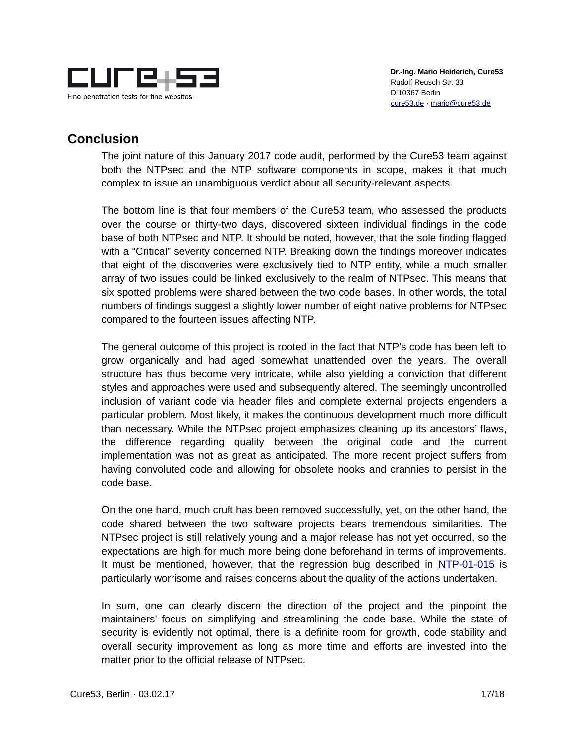

# <span id="page-16-0"></span>**Conclusion**

The joint nature of this January 2017 code audit, performed by the Cure53 team against both the NTPsec and the NTP software components in scope, makes it that much complex to issue an unambiguous verdict about all security-relevant aspects.

The bottom line is that four members of the Cure53 team, who assessed the products over the course or thirty-two days, discovered sixteen individual findings in the code base of both NTPsec and NTP. It should be noted, however, that the sole finding flagged with a "Critical" severity concerned NTP. Breaking down the findings moreover indicates that eight of the discoveries were exclusively tied to NTP entity, while a much smaller array of two issues could be linked exclusively to the realm of NTPsec. This means that six spotted problems were shared between the two code bases. In other words, the total numbers of findings suggest a slightly lower number of eight native problems for NTPsec compared to the fourteen issues affecting NTP.

The general outcome of this project is rooted in the fact that NTP's code has been left to grow organically and had aged somewhat unattended over the years. The overall structure has thus become very intricate, while also yielding a conviction that different styles and approaches were used and subsequently altered. The seemingly uncontrolled inclusion of variant code via header files and complete external projects engenders a particular problem. Most likely, it makes the continuous development much more difficult than necessary. While the NTPsec project emphasizes cleaning up its ancestors' flaws, the difference regarding quality between the original code and the current implementation was not as great as anticipated. The more recent project suffers from having convoluted code and allowing for obsolete nooks and crannies to persist in the code base.

On the one hand, much cruft has been removed successfully, yet, on the other hand, the code shared between the two software projects bears tremendous similarities. The NTPsec project is still relatively young and a major release has not yet occurred, so the expectations are high for much more being done beforehand in terms of improvements. It must be mentioned, however, that the regression bug described in [NTP-01-015](#page-5-0) is particularly worrisome and raises concerns about the quality of the actions undertaken.

In sum, one can clearly discern the direction of the project and the pinpoint the maintainers' focus on simplifying and streamlining the code base. While the state of security is evidently not optimal, there is a definite room for growth, code stability and overall security improvement as long as more time and efforts are invested into the matter prior to the official release of NTPsec.